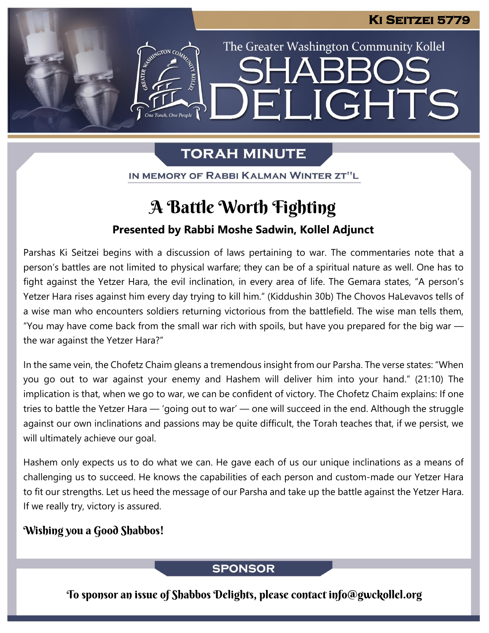The Greater Washington Community Kollel

ELIGHTS

# **TORAH MINUTE**

IN MEMORY OF RABBI KALMAN WINTER ZT"L

# A Battle Worth Fighting

## **Presented by Rabbi Moshe Sadwin, Kollel Adjunct**

Parshas Ki Seitzei begins with a discussion of laws pertaining to war. The commentaries note that a person's battles are not limited to physical warfare; they can be of a spiritual nature as well. One has to fight against the Yetzer Hara, the evil inclination, in every area of life. The Gemara states, "A person's Yetzer Hara rises against him every day trying to kill him." (Kiddushin 30b) The Chovos HaLevavos tells of a wise man who encounters soldiers returning victorious from the battlefield. The wise man tells them, "You may have come back from the small war rich with spoils, but have you prepared for the big war  $$ the war against the Yetzer Hara?"

In the same vein, the Chofetz Chaim gleans a tremendous insight from our Parsha. The verse states: "When you go out to war against your enemy and Hashem will deliver him into your hand." (21:10) The implication is that, when we go to war, we can be confident of victory. The Chofetz Chaim explains: If one tries to battle the Yetzer Hara — 'going out to war' — one will succeed in the end. Although the struggle against our own inclinations and passions may be quite difficult, the Torah teaches that, if we persist, we will ultimately achieve our goal.

Hashem only expects us to do what we can. He gave each of us our unique inclinations as a means of challenging us to succeed. He knows the capabilities of each person and custom-made our Yetzer Hara to fit our strengths. Let us heed the message of our Parsha and take up the battle against the Yetzer Hara. If we really try, victory is assured.

### Wishing you a Good Shabbos!

### **SPONSOR**

To sponsor an issue of Shabbos Delights, please contact info@gwckollel.org